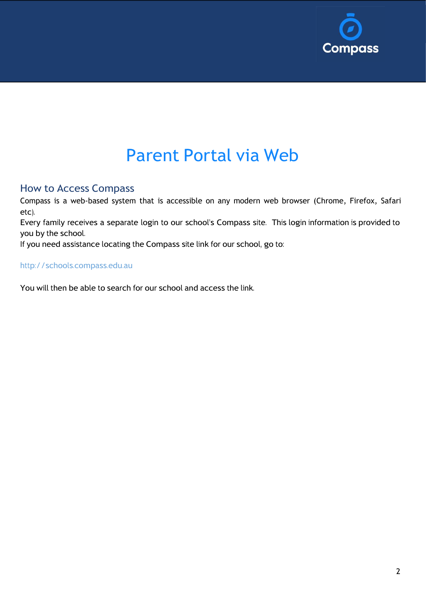

# Parent Portal via Web

### How to Access Compass

Compass is a web-based system that is accessible on any modern web browser (Chrome, Firefox, Safari etc).

Every family receives a separate login to our school's Compass site. This login information is provided to you by the school.

If you need assistance locating the Compass site link for our school, go to:

#### [http://schools.compass.edu.au](http://schools.compass.edu.au/)

You will then be able to search for our school and access the link.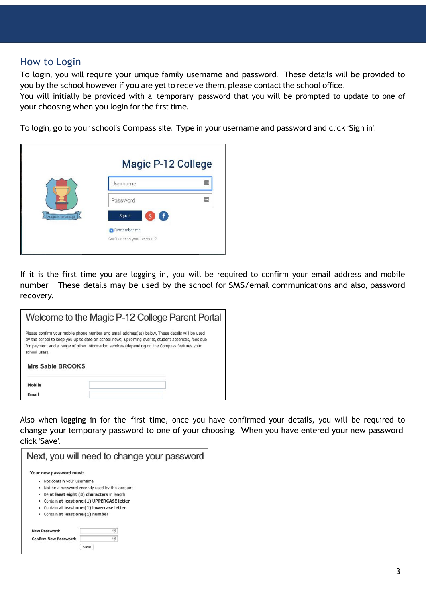#### How to Login

To login, you will require your unique family username and password. These details will be provided to you by the school however if you are yet to receive them, please contact the school office.

You will initially be provided with a temporary password that you will be prompted to update to one of your choosing when you login for the first time.

To login, go to your school's Compass site. Type in your username and password and click 'Sign in'.

|                    | Magic P-12 College                        |  |
|--------------------|-------------------------------------------|--|
|                    | Username                                  |  |
|                    | Password                                  |  |
| Magic P-12 College | Sign in<br>f.                             |  |
|                    | Remember me<br>Can't access your account? |  |

If it is the first time you are logging in, you will be required to confirm your email address and mobile number. These details may be used by the school for SMS/email communications and also, password recovery.

|                         | Welcome to the Magic P-12 College Parent Portal                                                                                                                                                                                                                                                      |
|-------------------------|------------------------------------------------------------------------------------------------------------------------------------------------------------------------------------------------------------------------------------------------------------------------------------------------------|
| school uses).           | Please confirm your mobile phone number and email address(es) below. These details will be used<br>by the school to keep you up to date on school news, upcoming events, student absences, fees due<br>for payment and a range of other information services (depending on the Compass features your |
| <b>Mrs Sable BROOKS</b> |                                                                                                                                                                                                                                                                                                      |
| Mobile                  |                                                                                                                                                                                                                                                                                                      |
| <b>Fmail</b>            |                                                                                                                                                                                                                                                                                                      |

Also when logging in for the first time, once you have confirmed your details, you will be required to change your temporary password to one of your choosing. When you have entered your new password, click 'Save'.

|                                 | Next, you will need to change your password     |
|---------------------------------|-------------------------------------------------|
| Your new password must:         |                                                 |
| Not contain your username<br>٠  |                                                 |
| ٠                               | Not be a password recently used by this account |
| ٠                               | Be at least eight (8) characters in length      |
| ٠                               | Contain at least one (1) UPPERCASE letter       |
| ٠                               | Contain at least one (1) lowercase letter       |
| Contain at least one (1) number |                                                 |
| New Password:                   | ⊛                                               |
| Confirm New Password:           | ⊕                                               |
|                                 | Save                                            |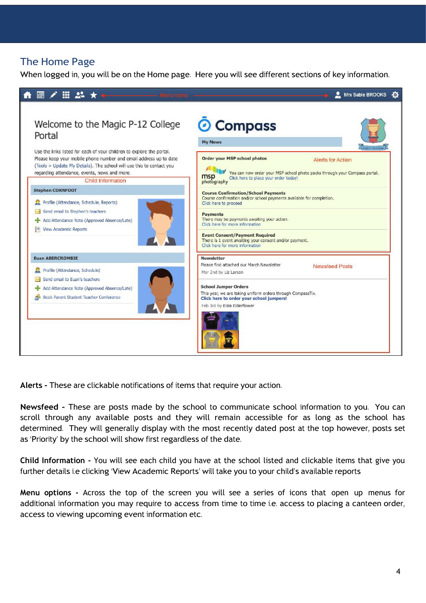## The Home Page

When logged in, you will be on the Home page. Here you will see different sections of key information.



**Alerts -** These are clickable notifications of items that require your action.

**Newsfeed -** These are posts made by the school to communicate school information to you. You can scroll through any available posts and they will remain accessible for as long as the school has determined. They will generally display with the most recently dated post at the top however, posts set as 'Priority' by the school will show first regardless of the date.

**Child Information -** You will see each child you have at the school listed and clickable items that give you further details i.e clicking 'View Academic Reports' will take you to your child's available reports

**Menu options -** Across the top of the screen you will see a series of icons that open up menus for additional information you may require to access from time to time i.e. access to placing a canteen order, access to viewing upcoming event information etc.